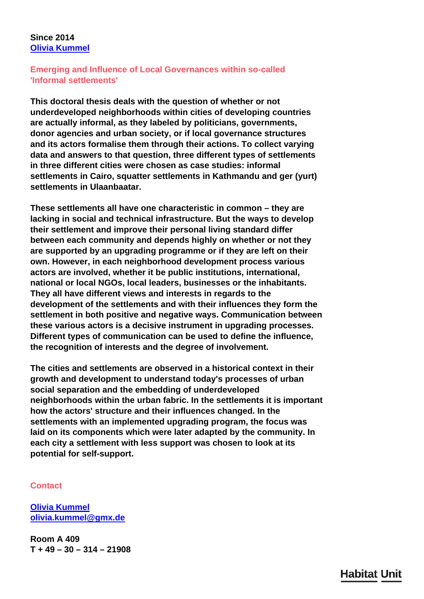## **Since 2014 [Olivia Kummel](/en/team/olivia-kummel/)**

## **Emerging and Influence of Local Governances within so-called 'Informal settlements'**

**This doctoral thesis deals with the question of whether or not underdeveloped neighborhoods within cities of developing countries are actually informal, as they labeled by politicians, governments, donor agencies and urban society, or if local governance structures and its actors formalise them through their actions. To collect varying data and answers to that question, three different types of settlements in three different cities were chosen as case studies: informal settlements in Cairo, squatter settlements in Kathmandu and ger (yurt) settlements in Ulaanbaatar.**

**These settlements all have one characteristic in common – they are lacking in social and technical infrastructure. But the ways to develop their settlement and improve their personal living standard differ between each community and depends highly on whether or not they are supported by an upgrading programme or if they are left on their own. However, in each neighborhood development process various actors are involved, whether it be public institutions, international, national or local NGOs, local leaders, businesses or the inhabitants. They all have different views and interests in regards to the development of the settlements and with their influences they form the settlement in both positive and negative ways. Communication between these various actors is a decisive instrument in upgrading processes. Different types of communication can be used to define the influence, the recognition of interests and the degree of involvement.**

**The cities and settlements are observed in a historical context in their growth and development to understand today's processes of urban social separation and the embedding of underdeveloped neighborhoods within the urban fabric. In the settlements it is important how the actors' structure and their influences changed. In the settlements with an implemented upgrading program, the focus was laid on its components which were later adapted by the community. In each city a settlement with less support was chosen to look at its potential for self-support.**

## **Contact**

**[Olivia Kummel](/en/team/olivia-kummel/) [olivia.kummel@gmx.de](mailto:olivia.kummel@gmx.de)**

**Room A 409 T + 49 – 30 – 314 – 21908**